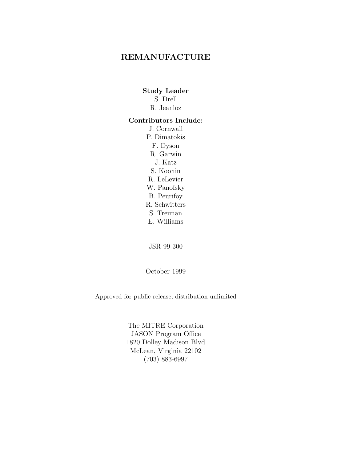### **REMANUFACTURE**

### **Study Leader**

- S. Drell
- R. Jeanloz

#### **Contributors Include:**

J. Cornwall P. Dimatokis F. Dyson R. Garwin J. Katz S. Koonin R. LeLevier W. Panofsky B. Peurifoy R. Schwitters S. Treiman E. Williams

JSR-99-300

October 1999

Approved for public release; distribution unlimited

The MITRE Corporation JASON Program Office 1820 Dolley Madison Blvd McLean, Virginia 22102 (703) 883-6997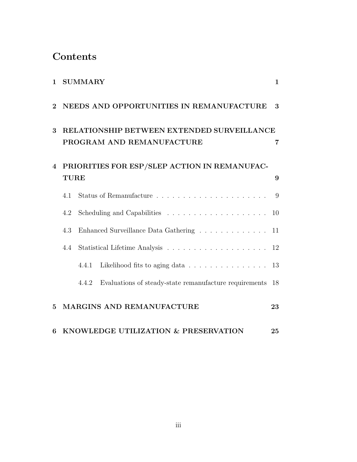### **Contents**

| $\mathbf{1}$   |                                                                         | SUMMARY                              |                                                                    | $\mathbf{1}$ |
|----------------|-------------------------------------------------------------------------|--------------------------------------|--------------------------------------------------------------------|--------------|
| $\mathbf 2$    | NEEDS AND OPPORTUNITIES IN REMANUFACTURE                                |                                      |                                                                    | 3            |
| 3              | RELATIONSHIP BETWEEN EXTENDED SURVEILLANCE<br>PROGRAM AND REMANUFACTURE |                                      |                                                                    | 7            |
| $\overline{4}$ | PRIORITIES FOR ESP/SLEP ACTION IN REMANUFAC-<br><b>TURE</b>             |                                      |                                                                    |              |
|                |                                                                         |                                      |                                                                    |              |
|                | 4.1                                                                     |                                      |                                                                    | 9            |
|                | 4.2                                                                     |                                      |                                                                    | 10           |
|                | 4.3                                                                     | Enhanced Surveillance Data Gathering |                                                                    | 11           |
|                | 4.4                                                                     |                                      |                                                                    |              |
|                |                                                                         | 4.4.1                                | Likelihood fits to aging data $\ldots \ldots \ldots \ldots \ldots$ | 13           |
|                |                                                                         | 4.4.2                                | Evaluations of steady-state remanufacture requirements             | 18           |
| $\overline{5}$ |                                                                         |                                      | MARGINS AND REMANUFACTURE                                          | 23           |
| 6              | KNOWLEDGE UTILIZATION & PRESERVATION<br>25                              |                                      |                                                                    |              |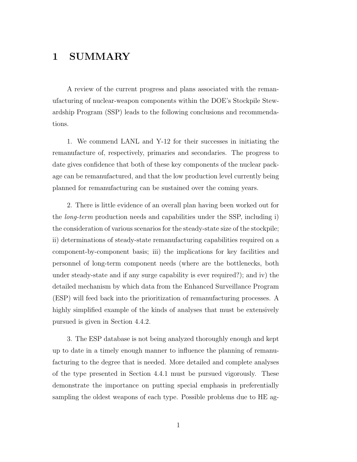### **1 SUMMARY**

A review of the current progress and plans associated with the remanufacturing of nuclear-weapon components within the DOE's Stockpile Stewardship Program (SSP) leads to the following conclusions and recommendations.

1. We commend LANL and Y-12 for their successes in initiating the remanufacture of, respectively, primaries and secondaries. The progress to date gives confidence that both of these key components of the nuclear package can be remanufactured, and that the low production level currently being planned for remanufacturing can be sustained over the coming years.

2. There is little evidence of an overall plan having been worked out for the long-term production needs and capabilities under the SSP, including i) the consideration of various scenarios for the steady-state size of the stockpile; ii) determinations of steady-state remanufacturing capabilities required on a component-by-component basis; iii) the implications for key facilities and personnel of long-term component needs (where are the bottlenecks, both under steady-state and if any surge capability is ever required?); and iv) the detailed mechanism by which data from the Enhanced Surveillance Program (ESP) will feed back into the prioritization of remanufacturing processes. A highly simplified example of the kinds of analyses that must be extensively pursued is given in Section 4.4.2.

3. The ESP database is not being analyzed thoroughly enough and kept up to date in a timely enough manner to influence the planning of remanufacturing to the degree that is needed. More detailed and complete analyses of the type presented in Section 4.4.1 must be pursued vigorously. These demonstrate the importance on putting special emphasis in preferentially sampling the oldest weapons of each type. Possible problems due to HE ag-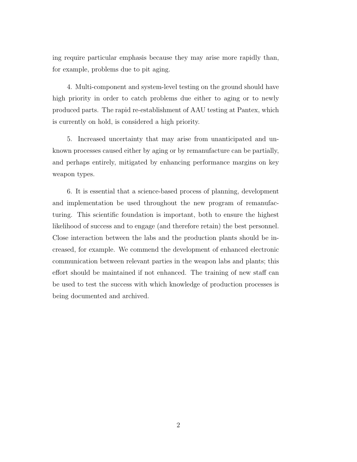ing require particular emphasis because they may arise more rapidly than, for example, problems due to pit aging.

4. Multi-component and system-level testing on the ground should have high priority in order to catch problems due either to aging or to newly produced parts. The rapid re-establishment of AAU testing at Pantex, which is currently on hold, is considered a high priority.

5. Increased uncertainty that may arise from unanticipated and unknown processes caused either by aging or by remanufacture can be partially, and perhaps entirely, mitigated by enhancing performance margins on key weapon types.

6. It is essential that a science-based process of planning, development and implementation be used throughout the new program of remanufacturing. This scientific foundation is important, both to ensure the highest likelihood of success and to engage (and therefore retain) the best personnel. Close interaction between the labs and the production plants should be increased, for example. We commend the development of enhanced electronic communication between relevant parties in the weapon labs and plants; this effort should be maintained if not enhanced. The training of new staff can be used to test the success with which knowledge of production processes is being documented and archived.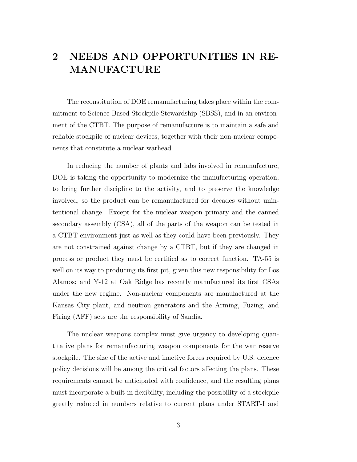## **2 NEEDS AND OPPORTUNITIES IN RE-MANUFACTURE**

The reconstitution of DOE remanufacturing takes place within the commitment to Science-Based Stockpile Stewardship (SBSS), and in an environment of the CTBT. The purpose of remanufacture is to maintain a safe and reliable stockpile of nuclear devices, together with their non-nuclear components that constitute a nuclear warhead.

In reducing the number of plants and labs involved in remanufacture, DOE is taking the opportunity to modernize the manufacturing operation, to bring further discipline to the activity, and to preserve the knowledge involved, so the product can be remanufactured for decades without unintentional change. Except for the nuclear weapon primary and the canned secondary assembly (CSA), all of the parts of the weapon can be tested in a CTBT environment just as well as they could have been previously. They are not constrained against change by a CTBT, but if they are changed in process or product they must be certified as to correct function. TA-55 is well on its way to producing its first pit, given this new responsibility for Los Alamos; and Y-12 at Oak Ridge has recently manufactured its first CSAs under the new regime. Non-nuclear components are manufactured at the Kansas City plant, and neutron generators and the Arming, Fuzing, and Firing (AFF) sets are the responsibility of Sandia.

The nuclear weapons complex must give urgency to developing quantitative plans for remanufacturing weapon components for the war reserve stockpile. The size of the active and inactive forces required by U.S. defence policy decisions will be among the critical factors affecting the plans. These requirements cannot be anticipated with confidence, and the resulting plans must incorporate a built-in flexibility, including the possibility of a stockpile greatly reduced in numbers relative to current plans under START-I and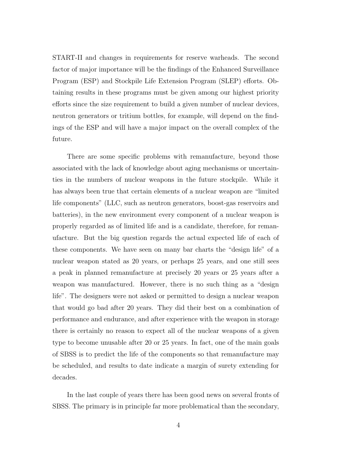START-II and changes in requirements for reserve warheads. The second factor of major importance will be the findings of the Enhanced Surveillance Program (ESP) and Stockpile Life Extension Program (SLEP) efforts. Obtaining results in these programs must be given among our highest priority efforts since the size requirement to build a given number of nuclear devices, neutron generators or tritium bottles, for example, will depend on the findings of the ESP and will have a major impact on the overall complex of the future.

There are some specific problems with remanufacture, beyond those associated with the lack of knowledge about aging mechanisms or uncertainties in the numbers of nuclear weapons in the future stockpile. While it has always been true that certain elements of a nuclear weapon are "limited life components" (LLC, such as neutron generators, boost-gas reservoirs and batteries), in the new environment every component of a nuclear weapon is properly regarded as of limited life and is a candidate, therefore, for remanufacture. But the big question regards the actual expected life of each of these components. We have seen on many bar charts the "design life" of a nuclear weapon stated as 20 years, or perhaps 25 years, and one still sees a peak in planned remanufacture at precisely 20 years or 25 years after a weapon was manufactured. However, there is no such thing as a "design life". The designers were not asked or permitted to design a nuclear weapon that would go bad after 20 years. They did their best on a combination of performance and endurance, and after experience with the weapon in storage there is certainly no reason to expect all of the nuclear weapons of a given type to become unusable after 20 or 25 years. In fact, one of the main goals of SBSS is to predict the life of the components so that remanufacture may be scheduled, and results to date indicate a margin of surety extending for decades.

In the last couple of years there has been good news on several fronts of SBSS. The primary is in principle far more problematical than the secondary,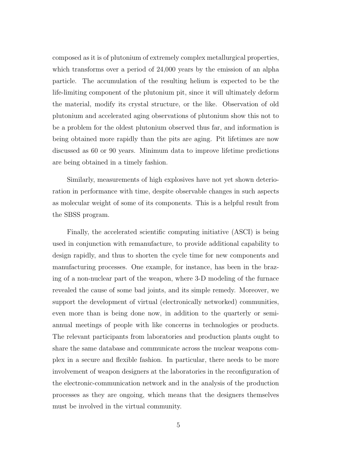composed as it is of plutonium of extremely complex metallurgical properties, which transforms over a period of 24,000 years by the emission of an alpha particle. The accumulation of the resulting helium is expected to be the life-limiting component of the plutonium pit, since it will ultimately deform the material, modify its crystal structure, or the like. Observation of old plutonium and accelerated aging observations of plutonium show this not to be a problem for the oldest plutonium observed thus far, and information is being obtained more rapidly than the pits are aging. Pit lifetimes are now discussed as 60 or 90 years. Minimum data to improve lifetime predictions are being obtained in a timely fashion.

Similarly, measurements of high explosives have not yet shown deterioration in performance with time, despite observable changes in such aspects as molecular weight of some of its components. This is a helpful result from the SBSS program.

Finally, the accelerated scientific computing initiative (ASCI) is being used in conjunction with remanufacture, to provide additional capability to design rapidly, and thus to shorten the cycle time for new components and manufacturing processes. One example, for instance, has been in the brazing of a non-nuclear part of the weapon, where 3-D modeling of the furnace revealed the cause of some bad joints, and its simple remedy. Moreover, we support the development of virtual (electronically networked) communities, even more than is being done now, in addition to the quarterly or semiannual meetings of people with like concerns in technologies or products. The relevant participants from laboratories and production plants ought to share the same database and communicate across the nuclear weapons complex in a secure and flexible fashion. In particular, there needs to be more involvement of weapon designers at the laboratories in the reconfiguration of the electronic-communication network and in the analysis of the production processes as they are ongoing, which means that the designers themselves must be involved in the virtual community.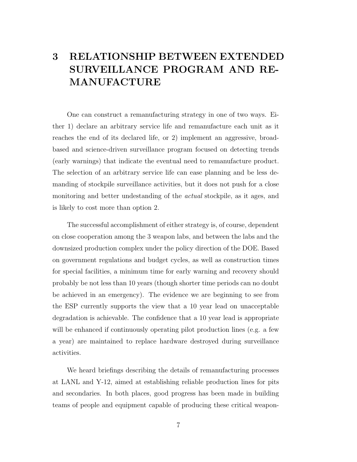# **3 RELATIONSHIP BETWEEN EXTENDED SURVEILLANCE PROGRAM AND RE-MANUFACTURE**

One can construct a remanufacturing strategy in one of two ways. Either 1) declare an arbitrary service life and remanufacture each unit as it reaches the end of its declared life, or 2) implement an aggressive, broadbased and science-driven surveillance program focused on detecting trends (early warnings) that indicate the eventual need to remanufacture product. The selection of an arbitrary service life can ease planning and be less demanding of stockpile surveillance activities, but it does not push for a close monitoring and better undestanding of the *actual* stockpile, as it ages, and is likely to cost more than option 2.

The successful accomplishment of either strategy is, of course, dependent on close cooperation among the 3 weapon labs, and between the labs and the downsized production complex under the policy direction of the DOE. Based on government regulations and budget cycles, as well as construction times for special facilities, a minimum time for early warning and recovery should probably be not less than 10 years (though shorter time periods can no doubt be achieved in an emergency). The evidence we are beginning to see from the ESP currently supports the view that a 10 year lead on unacceptable degradation is achievable. The confidence that a 10 year lead is appropriate will be enhanced if continuously operating pilot production lines (e.g. a few a year) are maintained to replace hardware destroyed during surveillance activities.

We heard briefings describing the details of remanufacturing processes at LANL and Y-12, aimed at establishing reliable production lines for pits and secondaries. In both places, good progress has been made in building teams of people and equipment capable of producing these critical weapon-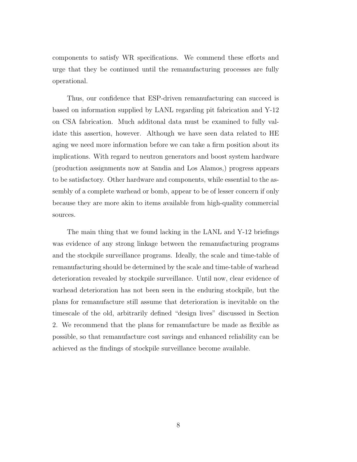components to satisfy WR specifications. We commend these efforts and urge that they be continued until the remanufacturing processes are fully operational.

Thus, our confidence that ESP-driven remanufacturing can succeed is based on information supplied by LANL regarding pit fabrication and Y-12 on CSA fabrication. Much additonal data must be examined to fully validate this assertion, however. Although we have seen data related to HE aging we need more information before we can take a firm position about its implications. With regard to neutron generators and boost system hardware (production assignments now at Sandia and Los Alamos,) progress appears to be satisfactory. Other hardware and components, while essential to the assembly of a complete warhead or bomb, appear to be of lesser concern if only because they are more akin to items available from high-quality commercial sources.

The main thing that we found lacking in the LANL and Y-12 briefings was evidence of any strong linkage between the remanufacturing programs and the stockpile surveillance programs. Ideally, the scale and time-table of remanufacturing should be determined by the scale and time-table of warhead deterioration revealed by stockpile surveillance. Until now, clear evidence of warhead deterioration has not been seen in the enduring stockpile, but the plans for remanufacture still assume that deterioration is inevitable on the timescale of the old, arbitrarily defined "design lives" discussed in Section 2. We recommend that the plans for remanufacture be made as flexible as possible, so that remanufacture cost savings and enhanced reliability can be achieved as the findings of stockpile surveillance become available.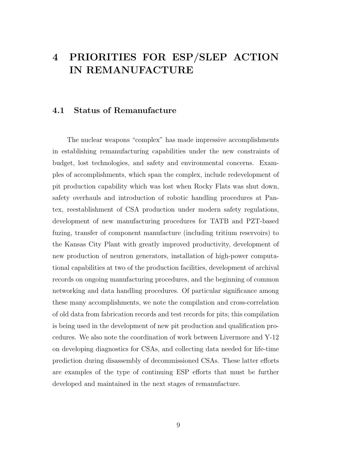### **4 PRIORITIES FOR ESP/SLEP ACTION IN REMANUFACTURE**

### **4.1 Status of Remanufacture**

The nuclear weapons "complex" has made impressive accomplishments in establishing remanufacturing capabilities under the new constraints of budget, lost technologies, and safety and environmental concerns. Examples of accomplishments, which span the complex, include redevelopment of pit production capability which was lost when Rocky Flats was shut down, safety overhauls and introduction of robotic handling procedures at Pantex, reestablishment of CSA production under modern safety regulations, development of new manufacturing procedures for TATB and PZT-based fuzing, transfer of component manufacture (including tritium reservoirs) to the Kansas City Plant with greatly improved productivity, development of new production of neutron generators, installation of high-power computational capabilities at two of the production facilities, development of archival records on ongoing manufacturing procedures, and the beginning of common networking and data handling procedures. Of particular significance among these many accomplishments, we note the compilation and cross-correlation of old data from fabrication records and test records for pits; this compilation is being used in the development of new pit production and qualification procedures. We also note the coordination of work between Livermore and Y-12 on developing diagnostics for CSAs, and collecting data needed for life-time prediction during disassembly of decommissioned CSAs. These latter efforts are examples of the type of continuing ESP efforts that must be further developed and maintained in the next stages of remanufacture.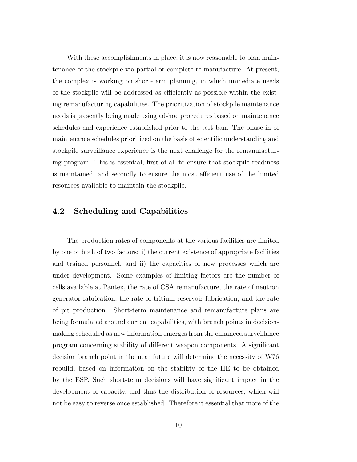With these accomplishments in place, it is now reasonable to plan maintenance of the stockpile via partial or complete re-manufacture. At present, the complex is working on short-term planning, in which immediate needs of the stockpile will be addressed as efficiently as possible within the existing remanufacturing capabilities. The prioritization of stockpile maintenance needs is presently being made using ad-hoc procedures based on maintenance schedules and experience established prior to the test ban. The phase-in of maintenance schedules prioritized on the basis of scientific understanding and stockpile surveillance experience is the next challenge for the remanufacturing program. This is essential, first of all to ensure that stockpile readiness is maintained, and secondly to ensure the most efficient use of the limited resources available to maintain the stockpile.

### **4.2 Scheduling and Capabilities**

The production rates of components at the various facilities are limited by one or both of two factors: i) the current existence of appropriate facilities and trained personnel, and ii) the capacities of new processes which are under development. Some examples of limiting factors are the number of cells available at Pantex, the rate of CSA remanufacture, the rate of neutron generator fabrication, the rate of tritium reservoir fabrication, and the rate of pit production. Short-term maintenance and remanufacture plans are being formulated around current capabilities, with branch points in decisionmaking scheduled as new information emerges from the enhanced surveillance program concerning stability of different weapon components. A significant decision branch point in the near future will determine the necessity of W76 rebuild, based on information on the stability of the HE to be obtained by the ESP. Such short-term decisions will have significant impact in the development of capacity, and thus the distribution of resources, which will not be easy to reverse once established. Therefore it essential that more of the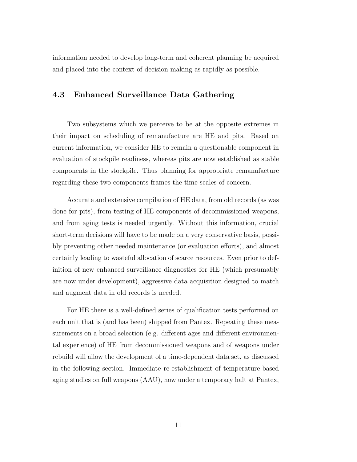information needed to develop long-term and coherent planning be acquired and placed into the context of decision making as rapidly as possible.

#### **4.3 Enhanced Surveillance Data Gathering**

Two subsystems which we perceive to be at the opposite extremes in their impact on scheduling of remanufacture are HE and pits. Based on current information, we consider HE to remain a questionable component in evaluation of stockpile readiness, whereas pits are now established as stable components in the stockpile. Thus planning for appropriate remanufacture regarding these two components frames the time scales of concern.

Accurate and extensive compilation of HE data, from old records (as was done for pits), from testing of HE components of decommissioned weapons, and from aging tests is needed urgently. Without this information, crucial short-term decisions will have to be made on a very conservative basis, possibly preventing other needed maintenance (or evaluation efforts), and almost certainly leading to wasteful allocation of scarce resources. Even prior to definition of new enhanced surveillance diagnostics for HE (which presumably are now under development), aggressive data acquisition designed to match and augment data in old records is needed.

For HE there is a well-defined series of qualification tests performed on each unit that is (and has been) shipped from Pantex. Repeating these measurements on a broad selection (e.g. different ages and different environmental experience) of HE from decommissioned weapons and of weapons under rebuild will allow the development of a time-dependent data set, as discussed in the following section. Immediate re-establishment of temperature-based aging studies on full weapons (AAU), now under a temporary halt at Pantex,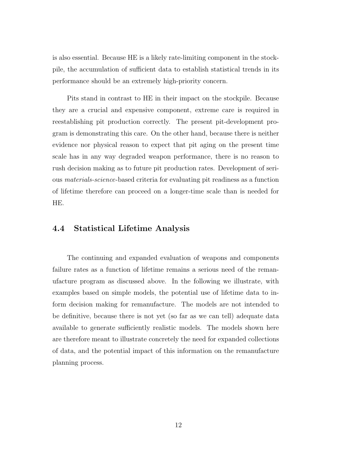is also essential. Because HE is a likely rate-limiting component in the stockpile, the accumulation of sufficient data to establish statistical trends in its performance should be an extremely high-priority concern.

Pits stand in contrast to HE in their impact on the stockpile. Because they are a crucial and expensive component, extreme care is required in reestablishing pit production correctly. The present pit-development program is demonstrating this care. On the other hand, because there is neither evidence nor physical reason to expect that pit aging on the present time scale has in any way degraded weapon performance, there is no reason to rush decision making as to future pit production rates. Development of serious materials-science-based criteria for evaluating pit readiness as a function of lifetime therefore can proceed on a longer-time scale than is needed for HE.

#### **4.4 Statistical Lifetime Analysis**

The continuing and expanded evaluation of weapons and components failure rates as a function of lifetime remains a serious need of the remanufacture program as discussed above. In the following we illustrate, with examples based on simple models, the potential use of lifetime data to inform decision making for remanufacture. The models are not intended to be definitive, because there is not yet (so far as we can tell) adequate data available to generate sufficiently realistic models. The models shown here are therefore meant to illustrate concretely the need for expanded collections of data, and the potential impact of this information on the remanufacture planning process.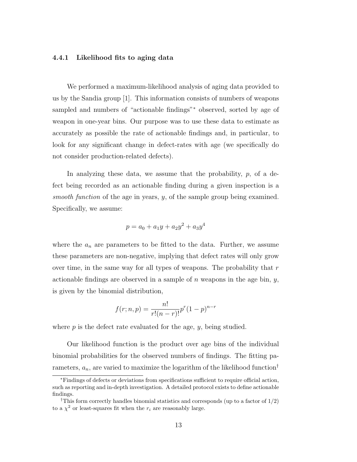#### **4.4.1 Likelihood fits to aging data**

We performed a maximum-likelihood analysis of aging data provided to us by the Sandia group [1]. This information consists of numbers of weapons sampled and numbers of "actionable findings"<sup>∗</sup> observed, sorted by age of weapon in one-year bins. Our purpose was to use these data to estimate as accurately as possible the rate of actionable findings and, in particular, to look for any significant change in defect-rates with age (we specifically do not consider production-related defects).

In analyzing these data, we assume that the probability,  $p$ , of a defect being recorded as an actionable finding during a given inspection is a smooth function of the age in years,  $y$ , of the sample group being examined. Specifically, we assume:

$$
p = a_0 + a_1y + a_2y^2 + a_3y^4
$$

where the  $a_n$  are parameters to be fitted to the data. Further, we assume these parameters are non-negative, implying that defect rates will only grow over time, in the same way for all types of weapons. The probability that  $r$ actionable findings are observed in a sample of n weapons in the age bin,  $y$ , is given by the binomial distribution,

$$
f(r;n,p) = \frac{n!}{r!(n-r)!}p^r(1-p)^{n-r}
$$

where  $p$  is the defect rate evaluated for the age,  $y$ , being studied.

Our likelihood function is the product over age bins of the individual binomial probabilities for the observed numbers of findings. The fitting parameters,  $a_n$ , are varied to maximize the logarithm of the likelihood function<sup>†</sup>

<sup>∗</sup>Findings of defects or deviations from specifications sufficient to require official action, such as reporting and in-depth investigation. A detailed protocol exists to define actionable findings.

<sup>&</sup>lt;sup>†</sup>This form correctly handles binomial statistics and corresponds (up to a factor of  $1/2$ ) to a  $\chi^2$  or least-squares fit when the  $r_i$  are reasonably large.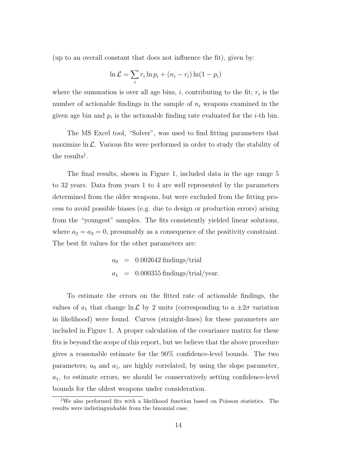(up to an overall constant that does not influence the fit), given by:

$$
\ln \mathcal{L} = \sum_{i} r_i \ln p_i + (n_i - r_i) \ln(1 - p_i)
$$

where the summation is over all age bins,  $i$ , contributing to the fit;  $r_i$  is the number of actionable findings in the sample of  $n_i$  weapons examined in the given age bin and  $p_i$  is the actionable finding rate evaluated for the *i*-th bin.

The MS Excel tool, "Solver", was used to find fitting parameters that maximize  $\ln \mathcal{L}$ . Various fits were performed in order to study the stability of the results‡ .

The final results, shown in Figure 1, included data in the age range 5 to 32 years. Data from years 1 to 4 are well represented by the parameters determined from the older weapons, but were excluded from the fitting process to avoid possible biases (e.g. due to design or production errors) arising from the "youngest" samples. The fits consistently yielded linear solutions, where  $a_2 = a_3 = 0$ , presumably as a consequence of the positivity constraint. The best fit values for the other parameters are:

$$
a_0 = 0.002642 \text{ findings/trial}
$$
  

$$
a_1 = 0.000355 \text{ findings/trial/year.}
$$

To estimate the errors on the fitted rate of actionable findings, the values of  $a_1$  that change  $\ln \mathcal{L}$  by 2 units (corresponding to a  $\pm 2\sigma$  variation in likelihood) were found. Curves (straight-lines) for these parameters are included in Figure 1. A proper calculation of the covariance matrix for these fits is beyond the scope of this report, but we believe that the above procedure gives a reasonable estimate for the 90% confidence-level bounds. The two parameters,  $a_0$  and  $a_1$ , are highly correlated; by using the slope parameter,  $a_1$ , to estimate errors, we should be conservatively setting confidence-level bounds for the oldest weapons under consideration.

<sup>‡</sup>We also performed fits with a likelihood function based on Poisson statistics. The results were indistinguishable from the binomial case.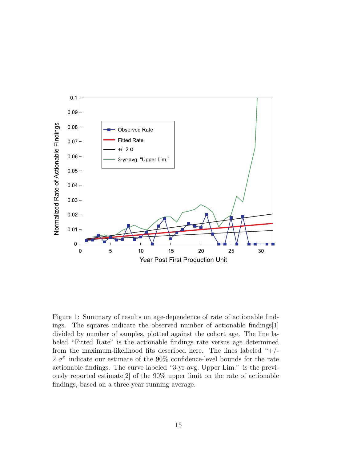

Figure 1: Summary of results on age-dependence of rate of actionable findings. The squares indicate the observed number of actionable findings[1] divided by number of samples, plotted against the cohort age. The line labeled "Fitted Rate" is the actionable findings rate versus age determined from the maximum-likelihood fits described here. The lines labeled " $+/-$ 2  $\sigma$ " indicate our estimate of the 90% confidence-level bounds for the rate actionable findings. The curve labeled "3-yr-avg. Upper Lim." is the previously reported estimate[2] of the 90% upper limit on the rate of actionable findings, based on a three-year running average.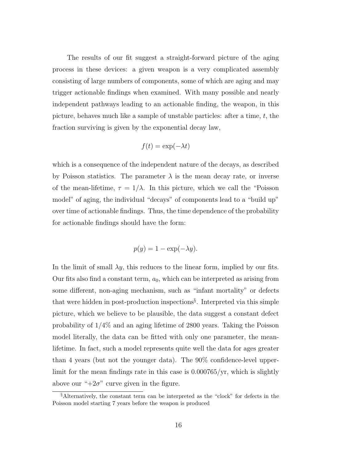The results of our fit suggest a straight-forward picture of the aging process in these devices: a given weapon is a very complicated assembly consisting of large numbers of components, some of which are aging and may trigger actionable findings when examined. With many possible and nearly independent pathways leading to an actionable finding, the weapon, in this picture, behaves much like a sample of unstable particles: after a time,  $t$ , the fraction surviving is given by the exponential decay law,

$$
f(t) = \exp(-\lambda t)
$$

which is a consequence of the independent nature of the decays, as described by Poisson statistics. The parameter  $\lambda$  is the mean decay rate, or inverse of the mean-lifetime,  $\tau = 1/\lambda$ . In this picture, which we call the "Poisson" model" of aging, the individual "decays" of components lead to a "build up" over time of actionable findings. Thus, the time dependence of the probability for actionable findings should have the form:

$$
p(y) = 1 - \exp(-\lambda y).
$$

In the limit of small  $\lambda y$ , this reduces to the linear form, implied by our fits. Our fits also find a constant term,  $a_0$ , which can be interpreted as arising from some different, non-aging mechanism, such as "infant mortality" or defects that were hidden in post-production inspections§ . Interpreted via this simple picture, which we believe to be plausible, the data suggest a constant defect probability of 1/4% and an aging lifetime of 2800 years. Taking the Poisson model literally, the data can be fitted with only one parameter, the meanlifetime. In fact, such a model represents quite well the data for ages greater than 4 years (but not the younger data). The 90% confidence-level upperlimit for the mean findings rate in this case is 0.000765/yr, which is slightly above our " $+2\sigma$ " curve given in the figure.

<sup>§</sup>Alternatively, the constant term can be interpreted as the "clock" for defects in the Poisson model starting 7 years before the weapon is produced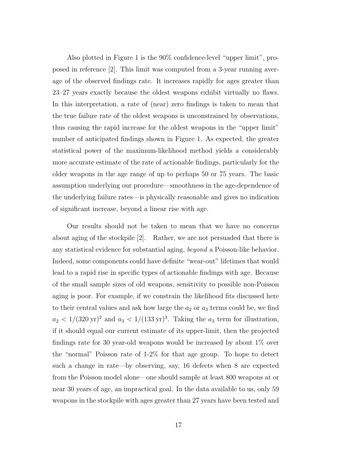Also plotted in Figure 1 is the 90% confidence-level "upper limit", proposed in reference [2]. This limit was computed from a 3-year running average of the observed findings rate. It increases rapidly for ages greater than 23–27 years exactly because the oldest weapons exhibit virtually no flaws. In this interpretation, a rate of (near) zero findings is taken to mean that the true failure rate of the oldest weapons is unconstrained by observations, thus causing the rapid increase for the oldest weapons in the "upper limit" number of anticipated findings shown in Figure 1. As expected, the greater statistical power of the maximum-likelihood method yields a considerably more accurate estimate of the rate of actionable findings, particularly for the older weapons in the age range of up to perhaps 50 or 75 years. The basic assumption underlying our procedure—smoothness in the age-dependence of the underlying failure rates—is physically reasonable and gives no indication of significant increase, beyond a linear rise with age.

Our results should not be taken to mean that we have no concerns about aging of the stockpile [2]. Rather, we are not persuaded that there is any statistical evidence for substantial aging, beyond a Poisson-like behavior. Indeed, some components could have definite "wear-out" lifetimes that would lead to a rapid rise in specific types of actionable findings with age. Because of the small sample sizes of old weapons, sensitivity to possible non-Poisson aging is poor. For example, if we constrain the likelihood fits discussed here to their central values and ask how large the  $a_2$  or  $a_3$  terms could be, we find  $a_2 < 1/(320 \text{ yr})^2$  and  $a_3 < 1/(133 \text{ yr})^3$ . Taking the  $a_3$  term for illustration, if it should equal our current estimate of its upper-limit, then the projected findings rate for 30 year-old weapons would be increased by about 1% over the "normal" Poisson rate of 1-2% for that age group. To hope to detect such a change in rate—by observing, say, 16 defects when 8 are expected from the Poisson model alone—one should sample at least 800 weapons at or near 30 years of age, an impractical goal. In the data available to us, only 59 weapons in the stockpile with ages greater than 27 years have been tested and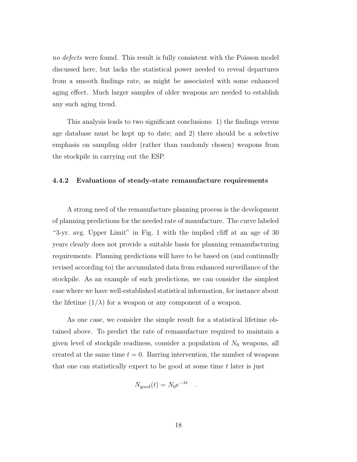no defects were found. This result is fully consistent with the Poisson model discussed here, but lacks the statistical power needed to reveal departures from a smooth findings rate, as might be associated with some enhanced aging effect. Much larger samples of older weapons are needed to establish any such aging trend.

This analysis leads to two significant conclusions: 1) the findings versus age database must be kept up to date; and 2) there should be a selective emphasis on sampling older (rather than randomly chosen) weapons from the stockpile in carrying out the ESP.

#### **4.4.2 Evaluations of steady-state remanufacture requirements**

A strong need of the remanufacture planning process is the development of planning predictions for the needed rate of manufacture. The curve labeled "3-yr. avg. Upper Limit" in Fig. 1 with the implied cliff at an age of 30 years clearly does not provide a suitable basis for planning remanufacturing requirements. Planning predictions will have to be based on (and continually revised according to) the accumulated data from enhanced surveillance of the stockpile. As an example of such predictions, we can consider the simplest case where we have well-established statistical information, for instance about the lifetime  $(1/\lambda)$  for a weapon or any component of a weapon.

As one case, we consider the simple result for a statistical lifetime obtained above. To predict the rate of remanufacture required to maintain a given level of stockpile readiness, consider a population of  $N_0$  weapons, all created at the same time  $t = 0$ . Barring intervention, the number of weapons that one can statistically expect to be good at some time  $t$  later is just

$$
N_{\text{good}}(t) = N_0 e^{-\lambda t} .
$$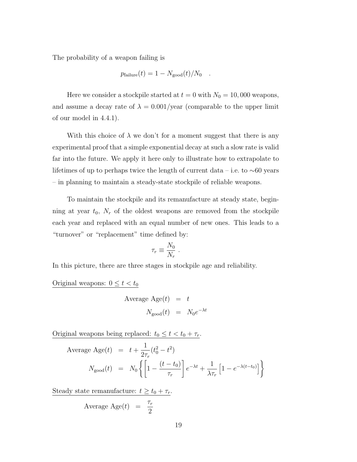The probability of a weapon failing is

$$
p_{\text{failure}}(t) = 1 - N_{\text{good}}(t)/N_0 .
$$

Here we consider a stockpile started at  $t = 0$  with  $N_0 = 10,000$  weapons, and assume a decay rate of  $\lambda = 0.001/\text{year}$  (comparable to the upper limit of our model in 4.4.1).

With this choice of  $\lambda$  we don't for a moment suggest that there is any experimental proof that a simple exponential decay at such a slow rate is valid far into the future. We apply it here only to illustrate how to extrapolate to lifetimes of up to perhaps twice the length of current data – i.e. to ∼60 years – in planning to maintain a steady-state stockpile of reliable weapons.

To maintain the stockpile and its remanufacture at steady state, beginning at year  $t_0$ ,  $N_r$  of the oldest weapons are removed from the stockpile each year and replaced with an equal number of new ones. This leads to a "turnover" or "replacement" time defined by:

$$
\tau_r \equiv \frac{N_0}{N_r} \; .
$$

In this picture, there are three stages in stockpile age and reliability.

Original weapons:  $0 \le t < t_0$ 

Average Age
$$
(t)
$$
 =  $t$   
 $N_{\text{good}}(t)$  =  $N_0 e^{-\lambda t}$ 

Original weapons being replaced:  $t_0 \leq t < t_0 + \tau_r$ .

Average Age(t) = 
$$
t + \frac{1}{2\tau_r}(t_0^2 - t^2)
$$
  
\n
$$
N_{\text{good}}(t) = N_0 \left\{ \left[ 1 - \frac{(t - t_0)}{\tau_r} \right] e^{-\lambda t} + \frac{1}{\lambda \tau_r} \left[ 1 - e^{-\lambda(t - t_0)} \right] \right\}
$$

Steady state remanufacture:  $t \ge t_0 + \tau_r$ .

Average Age
$$
(t)
$$
 =  $\frac{\tau_r}{2}$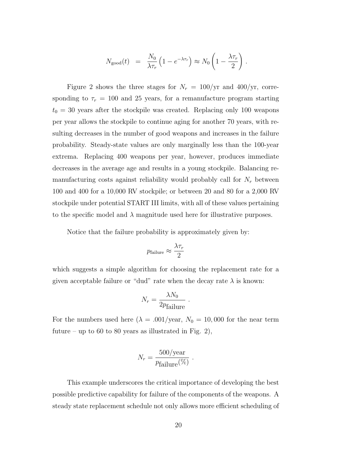$$
N_{\text{good}}(t) = \frac{N_0}{\lambda \tau_r} \left( 1 - e^{-\lambda \tau_r} \right) \approx N_0 \left( 1 - \frac{\lambda \tau_r}{2} \right) .
$$

Figure 2 shows the three stages for  $N_r = 100/yr$  and 400/yr, corresponding to  $\tau_r = 100$  and 25 years, for a remanufacture program starting  $t_0 = 30$  years after the stockpile was created. Replacing only 100 weapons per year allows the stockpile to continue aging for another 70 years, with resulting decreases in the number of good weapons and increases in the failure probability. Steady-state values are only marginally less than the 100-year extrema. Replacing 400 weapons per year, however, produces immediate decreases in the average age and results in a young stockpile. Balancing remanufacturing costs against reliability would probably call for  $N_r$  between 100 and 400 for a 10,000 RV stockpile; or between 20 and 80 for a 2,000 RV stockpile under potential START III limits, with all of these values pertaining to the specific model and  $\lambda$  magnitude used here for illustrative purposes.

Notice that the failure probability is approximately given by:

$$
p_{\text{failure}} \approx \frac{\lambda \tau_r}{2}
$$

which suggests a simple algorithm for choosing the replacement rate for a given acceptable failure or "dud" rate when the decay rate  $\lambda$  is known:

$$
N_r = \frac{\lambda N_0}{2p_{\text{failure}}}.
$$

For the numbers used here  $(\lambda = .001/\text{year}, N_0 = 10,000$  for the near term future – up to 60 to 80 years as illustrated in Fig. 2),

$$
N_r = \frac{500/\text{year}}{p_{\text{failure}}(\%)} \ .
$$

This example underscores the critical importance of developing the best possible predictive capability for failure of the components of the weapons. A steady state replacement schedule not only allows more efficient scheduling of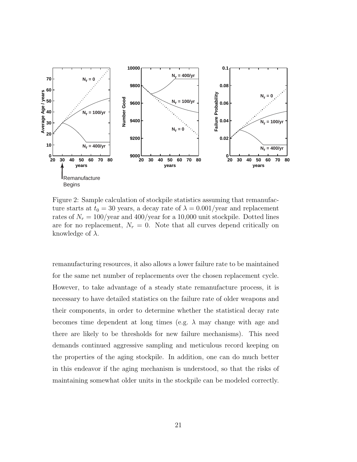

Figure 2: Sample calculation of stockpile statistics assuming that remanufacture starts at  $t_0 = 30$  years, a decay rate of  $\lambda = 0.001/\text{year}$  and replacement rates of  $N_r = 100/\text{year}$  and 400/year for a 10,000 unit stockpile. Dotted lines are for no replacement,  $N_r = 0$ . Note that all curves depend critically on knowledge of  $\lambda$ .

remanufacturing resources, it also allows a lower failure rate to be maintained for the same net number of replacements over the chosen replacement cycle. However, to take advantage of a steady state remanufacture process, it is necessary to have detailed statistics on the failure rate of older weapons and their components, in order to determine whether the statistical decay rate becomes time dependent at long times (e.g.  $\lambda$  may change with age and there are likely to be thresholds for new failure mechanisms). This need demands continued aggressive sampling and meticulous record keeping on the properties of the aging stockpile. In addition, one can do much better in this endeavor if the aging mechanism is understood, so that the risks of maintaining somewhat older units in the stockpile can be modeled correctly.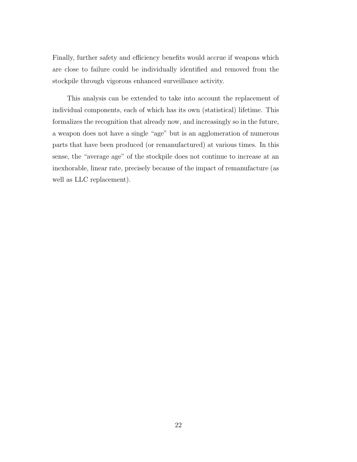Finally, further safety and efficiency benefits would accrue if weapons which are close to failure could be individually identified and removed from the stockpile through vigorous enhanced surveillance activity.

This analysis can be extended to take into account the replacement of individual components, each of which has its own (statistical) lifetime. This formalizes the recognition that already now, and increasingly so in the future, a weapon does not have a single "age" but is an agglomeration of numerous parts that have been produced (or remanufactured) at various times. In this sense, the "average age" of the stockpile does not continue to increase at an inexhorable, linear rate, precisely because of the impact of remanufacture (as well as LLC replacement).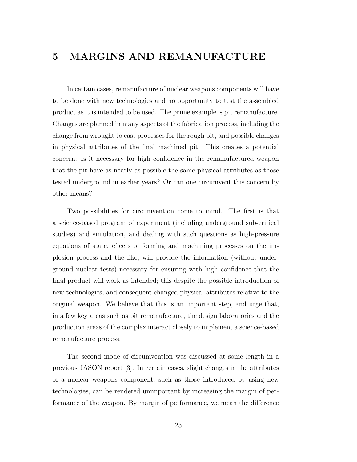### **5 MARGINS AND REMANUFACTURE**

In certain cases, remanufacture of nuclear weapons components will have to be done with new technologies and no opportunity to test the assembled product as it is intended to be used. The prime example is pit remanufacture. Changes are planned in many aspects of the fabrication process, including the change from wrought to cast processes for the rough pit, and possible changes in physical attributes of the final machined pit. This creates a potential concern: Is it necessary for high confidence in the remanufactured weapon that the pit have as nearly as possible the same physical attributes as those tested underground in earlier years? Or can one circumvent this concern by other means?

Two possibilities for circumvention come to mind. The first is that a science-based program of experiment (including underground sub-critical studies) and simulation, and dealing with such questions as high-pressure equations of state, effects of forming and machining processes on the implosion process and the like, will provide the information (without underground nuclear tests) necessary for ensuring with high confidence that the final product will work as intended; this despite the possible introduction of new technologies, and consequent changed physical attributes relative to the original weapon. We believe that this is an important step, and urge that, in a few key areas such as pit remanufacture, the design laboratories and the production areas of the complex interact closely to implement a science-based remanufacture process.

The second mode of circumvention was discussed at some length in a previous JASON report [3]. In certain cases, slight changes in the attributes of a nuclear weapons component, such as those introduced by using new technologies, can be rendered unimportant by increasing the margin of performance of the weapon. By margin of performance, we mean the difference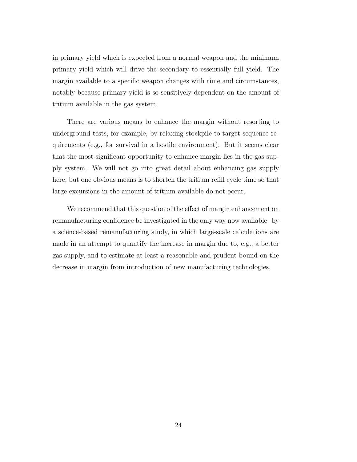in primary yield which is expected from a normal weapon and the minimum primary yield which will drive the secondary to essentially full yield. The margin available to a specific weapon changes with time and circumstances, notably because primary yield is so sensitively dependent on the amount of tritium available in the gas system.

There are various means to enhance the margin without resorting to underground tests, for example, by relaxing stockpile-to-target sequence requirements (e.g., for survival in a hostile environment). But it seems clear that the most significant opportunity to enhance margin lies in the gas supply system. We will not go into great detail about enhancing gas supply here, but one obvious means is to shorten the tritium refill cycle time so that large excursions in the amount of tritium available do not occur.

We recommend that this question of the effect of margin enhancement on remanufacturing confidence be investigated in the only way now available: by a science-based remanufacturing study, in which large-scale calculations are made in an attempt to quantify the increase in margin due to, e.g., a better gas supply, and to estimate at least a reasonable and prudent bound on the decrease in margin from introduction of new manufacturing technologies.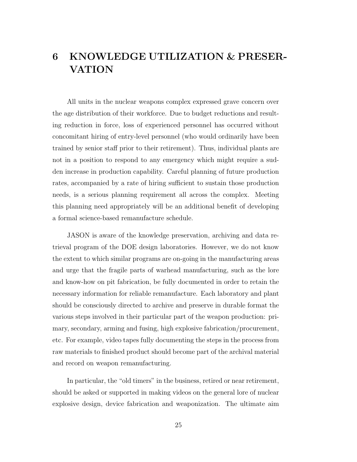## **6 KNOWLEDGE UTILIZATION & PRESER-VATION**

All units in the nuclear weapons complex expressed grave concern over the age distribution of their workforce. Due to budget reductions and resulting reduction in force, loss of experienced personnel has occurred without concomitant hiring of entry-level personnel (who would ordinarily have been trained by senior staff prior to their retirement). Thus, individual plants are not in a position to respond to any emergency which might require a sudden increase in production capability. Careful planning of future production rates, accompanied by a rate of hiring sufficient to sustain those production needs, is a serious planning requirement all across the complex. Meeting this planning need appropriately will be an additional benefit of developing a formal science-based remanufacture schedule.

JASON is aware of the knowledge preservation, archiving and data retrieval program of the DOE design laboratories. However, we do not know the extent to which similar programs are on-going in the manufacturing areas and urge that the fragile parts of warhead manufacturing, such as the lore and know-how on pit fabrication, be fully documented in order to retain the necessary information for reliable remanufacture. Each laboratory and plant should be consciously directed to archive and preserve in durable format the various steps involved in their particular part of the weapon production: primary, secondary, arming and fusing, high explosive fabrication/procurement, etc. For example, video tapes fully documenting the steps in the process from raw materials to finished product should become part of the archival material and record on weapon remanufacturing.

In particular, the "old timers" in the business, retired or near retirement, should be asked or supported in making videos on the general lore of nuclear explosive design, device fabrication and weaponization. The ultimate aim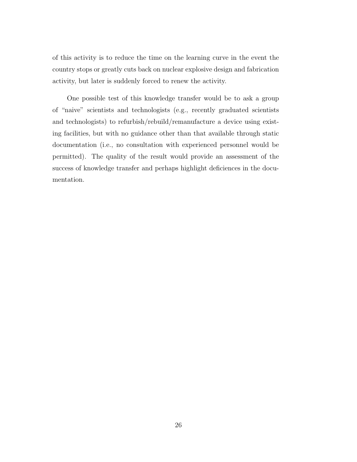of this activity is to reduce the time on the learning curve in the event the country stops or greatly cuts back on nuclear explosive design and fabrication activity, but later is suddenly forced to renew the activity.

One possible test of this knowledge transfer would be to ask a group of "naive" scientists and technologists (e.g., recently graduated scientists and technologists) to refurbish/rebuild/remanufacture a device using existing facilities, but with no guidance other than that available through static documentation (i.e., no consultation with experienced personnel would be permitted). The quality of the result would provide an assessment of the success of knowledge transfer and perhaps highlight deficiences in the documentation.